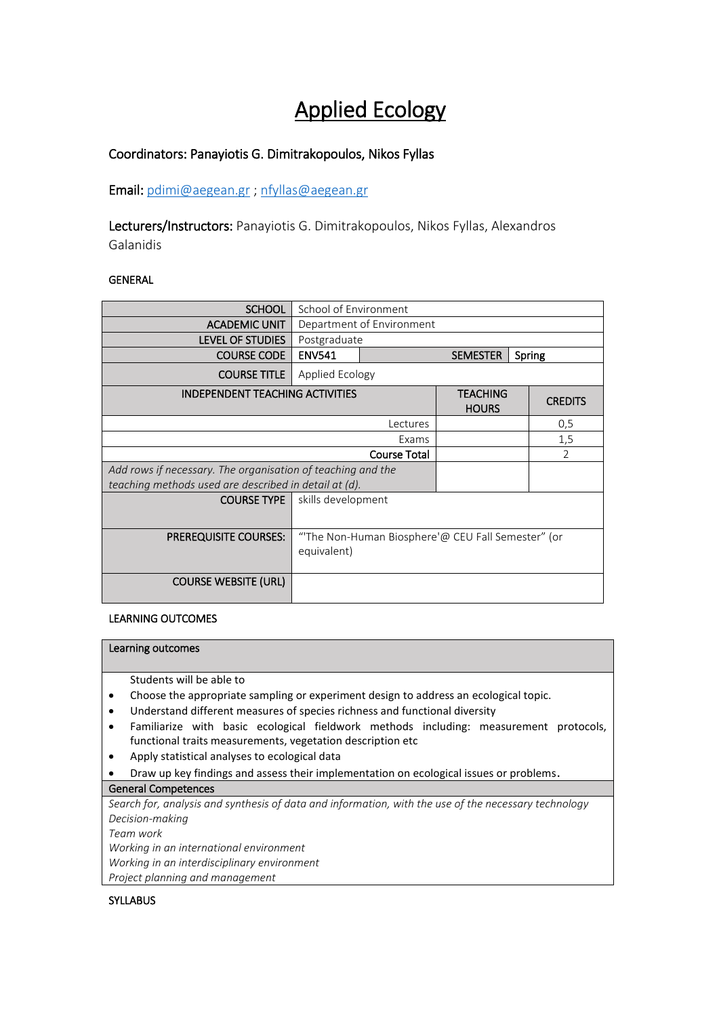# Applied Ecology

## Coordinators: Panayiotis G. Dimitrakopoulos, Nikos Fyllas

Email[: pdimi@aegean.gr](mailto:pdimi@aegean.gr) ; [nfyllas@aegean.gr](mailto:nfyllas@aegean.gr)

Lecturers/Instructors: Panayiotis G. Dimitrakopoulos, Nikos Fyllas, Alexandros Galanidis

## GENERAL

| <b>SCHOOL</b>                                               | School of Environment                                            |                           |                                 |  |                |
|-------------------------------------------------------------|------------------------------------------------------------------|---------------------------|---------------------------------|--|----------------|
| <b>ACADEMIC UNIT</b>                                        | Department of Environment                                        |                           |                                 |  |                |
| <b>LEVEL OF STUDIES</b>                                     | Postgraduate                                                     |                           |                                 |  |                |
| <b>COURSE CODE</b>                                          | <b>ENV541</b>                                                    | <b>SEMESTER</b><br>Spring |                                 |  |                |
| <b>COURSE TITLE</b>                                         | Applied Ecology                                                  |                           |                                 |  |                |
| <b>INDEPENDENT TEACHING ACTIVITIES</b>                      |                                                                  |                           | <b>TEACHING</b><br><b>HOURS</b> |  | <b>CREDITS</b> |
| Lectures                                                    |                                                                  |                           |                                 |  | 0,5            |
| Exams                                                       |                                                                  |                           |                                 |  | 1,5            |
| <b>Course Total</b>                                         |                                                                  |                           |                                 |  | $\mathcal{P}$  |
| Add rows if necessary. The organisation of teaching and the |                                                                  |                           |                                 |  |                |
| teaching methods used are described in detail at (d).       |                                                                  |                           |                                 |  |                |
| <b>COURSE TYPE</b>                                          | skills development                                               |                           |                                 |  |                |
| <b>PREREQUISITE COURSES:</b>                                | "The Non-Human Biosphere'@ CEU Fall Semester" (or<br>equivalent) |                           |                                 |  |                |
| <b>COURSE WEBSITE (URL)</b>                                 |                                                                  |                           |                                 |  |                |

## LEARNING OUTCOMES

#### Learning outcomes

Students will be able to

- Choose the appropriate sampling or experiment design to address an ecological topic.
- Understand different measures of species richness and functional diversity
- Familiarize with basic ecological fieldwork methods including: measurement protocols, functional traits measurements, vegetation description etc
- Apply statistical analyses to ecological data
- Draw up key findings and assess their implementation on ecological issues or problems.

#### General Competences

*Search for, analysis and synthesis of data and information, with the use of the necessary technology Decision-making* 

*Team work*

*Working in an international environment* 

*Working in an interdisciplinary environment* 

*Project planning and management* 

### **SYLLABUS**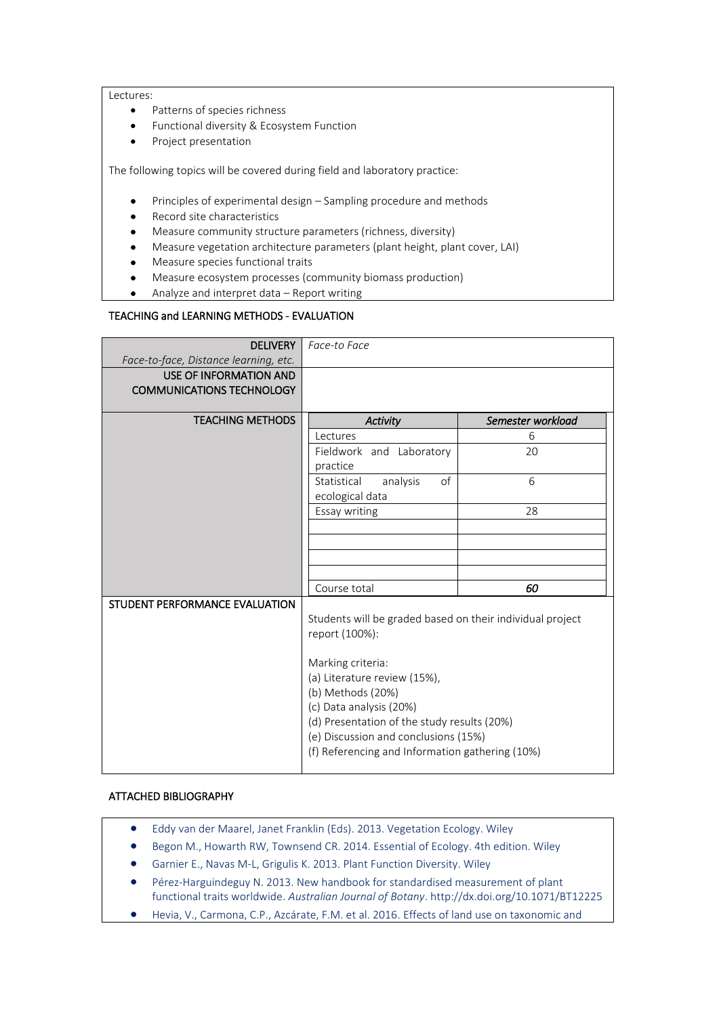#### Lectures:

- Patterns of species richness
- Functional diversity & Ecosystem Function
- Project presentation

The following topics will be covered during field and laboratory practice:

- Principles of experimental design Sampling procedure and methods
- Record site characteristics
- Measure community structure parameters (richness, diversity)
- Measure vegetation architecture parameters (plant height, plant cover, LAI)
- Measure species functional traits
- Measure ecosystem processes (community biomass production)
- Analyze and interpret data Report writing

#### TEACHING and LEARNING METHODS - EVALUATION

| <b>DELIVERY</b>                       | Face-to Face                                              |                   |  |  |  |
|---------------------------------------|-----------------------------------------------------------|-------------------|--|--|--|
| Face-to-face, Distance learning, etc. |                                                           |                   |  |  |  |
| USE OF INFORMATION AND                |                                                           |                   |  |  |  |
| <b>COMMUNICATIONS TECHNOLOGY</b>      |                                                           |                   |  |  |  |
|                                       |                                                           |                   |  |  |  |
| <b>TEACHING METHODS</b>               | <b>Activity</b>                                           | Semester workload |  |  |  |
|                                       | Lectures<br>6                                             |                   |  |  |  |
|                                       | Fieldwork and Laboratory<br>20                            |                   |  |  |  |
|                                       | practice                                                  |                   |  |  |  |
|                                       | of<br>analysis<br>Statistical                             | 6                 |  |  |  |
|                                       | ecological data                                           |                   |  |  |  |
|                                       | Essay writing                                             | 28                |  |  |  |
|                                       |                                                           |                   |  |  |  |
|                                       |                                                           |                   |  |  |  |
|                                       |                                                           |                   |  |  |  |
|                                       |                                                           |                   |  |  |  |
|                                       | Course total                                              | 60                |  |  |  |
| STUDENT PERFORMANCE EVALUATION        |                                                           |                   |  |  |  |
|                                       | Students will be graded based on their individual project |                   |  |  |  |
|                                       | report (100%):                                            |                   |  |  |  |
|                                       |                                                           |                   |  |  |  |
|                                       | Marking criteria:                                         |                   |  |  |  |
|                                       | (a) Literature review (15%),                              |                   |  |  |  |
|                                       | (b) Methods (20%)                                         |                   |  |  |  |
|                                       | (c) Data analysis (20%)                                   |                   |  |  |  |
|                                       | (d) Presentation of the study results (20%)               |                   |  |  |  |
|                                       | (e) Discussion and conclusions (15%)                      |                   |  |  |  |
|                                       | (f) Referencing and Information gathering (10%)           |                   |  |  |  |
|                                       |                                                           |                   |  |  |  |

#### ATTACHED BIBLIOGRAPHY

- Eddy van der Maarel, Janet Franklin (Eds). 2013. Vegetation Ecology. Wiley
- Begon M., Howarth RW, Townsend CR. 2014. Essential of Ecology. 4th edition. Wiley
- Garnier E., Navas M-L, Grigulis K. 2013. Plant Function Diversity. Wiley
- Pérez-Harguindeguy N. 2013. New handbook for standardised measurement of plant functional traits worldwide. *Australian Journal of Botany*. http://dx.doi.org/10.1071/BT12225
- Hevia, V., Carmona, C.P., Azcárate, F.M. et al. 2016. Effects of land use on taxonomic and